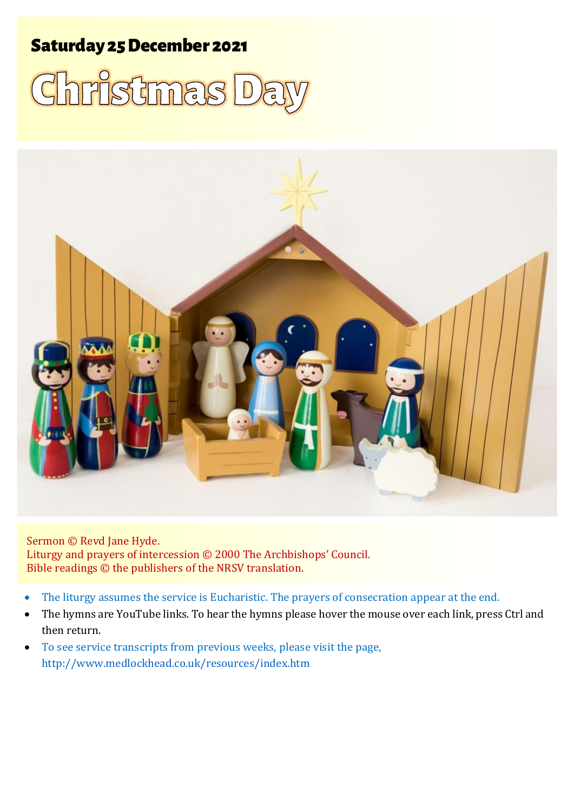# Saturday 25 December 2021 1 **Christmas Day** Saturday 25 December 2021





Sermon © Revd Jane Hyde. Liturgy and prayers of intercession © 2000 The Archbishops' Council. Bible readings © the publishers of the NRSV translation.

- The liturgy assumes the service is Eucharistic. The prayers of consecration appear at the end.
- The hymns are YouTube links. To hear the hymns please hover the mouse over each link, press Ctrl and then return.
- To see service transcripts from previous weeks, please visit the page, <http://www.medlockhead.co.uk/resources/index.htm>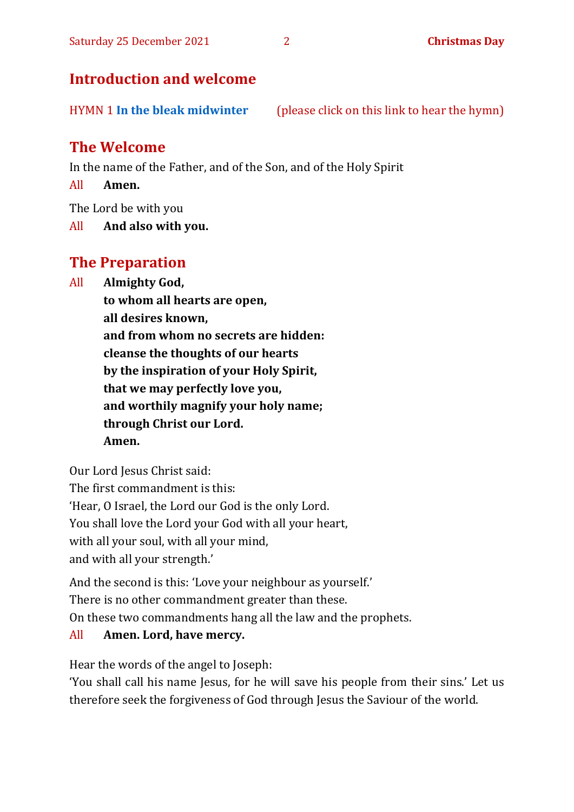# **Introduction and welcome**

HYMN 1 **[In the bleak midwinter](https://www.youtube.com/watch?v=r_dO91hQhkU)** (please click on this link to hear the hymn)

# **The Welcome**

In the name of the Father, and of the Son, and of the Holy Spirit

All **Amen.**

The Lord be with you

All **And also with you.**

# **The Preparation**

All **Almighty God,**

**to whom all hearts are open, all desires known, and from whom no secrets are hidden: cleanse the thoughts of our hearts by the inspiration of your Holy Spirit, that we may perfectly love you, and worthily magnify your holy name; through Christ our Lord. Amen.**

Our Lord Jesus Christ said:

The first commandment is this:

'Hear, O Israel, the Lord our God is the only Lord.

You shall love the Lord your God with all your heart,

with all your soul, with all your mind,

and with all your strength.'

And the second is this: 'Love your neighbour as yourself.'

There is no other commandment greater than these.

On these two commandments hang all the law and the prophets.

### All **Amen. Lord, have mercy.**

Hear the words of the angel to Joseph:

'You shall call his name Jesus, for he will save his people from their sins.' Let us therefore seek the forgiveness of God through Jesus the Saviour of the world.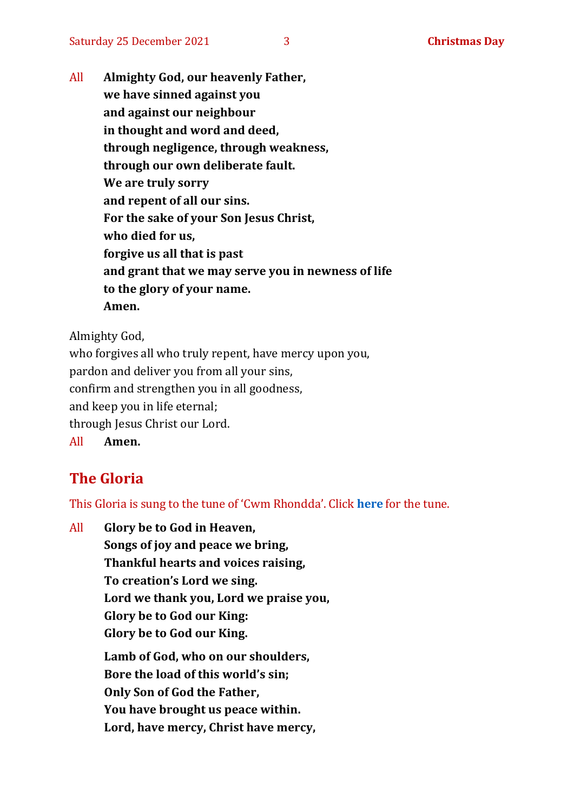All **Almighty God, our heavenly Father, we have sinned against you and against our neighbour in thought and word and deed, through negligence, through weakness, through our own deliberate fault. We are truly sorry and repent of all our sins. For the sake of your Son Jesus Christ, who died for us, forgive us all that is past and grant that we may serve you in newness of life to the glory of your name. Amen.**

Almighty God,

who forgives all who truly repent, have mercy upon you, pardon and deliver you from all your sins, confirm and strengthen you in all goodness, and keep you in life eternal; through Jesus Christ our Lord. All **Amen.**

# **The Gloria**

This Gloria is sung to the tune of 'Cwm Rhondda'. Click **[here](about:blank)** for the tune.

All **Glory be to God in Heaven, Songs of joy and peace we bring, Thankful hearts and voices raising, To creation's Lord we sing. Lord we thank you, Lord we praise you, Glory be to God our King: Glory be to God our King. Lamb of God, who on our shoulders, Bore the load of this world's sin; Only Son of God the Father, You have brought us peace within.**

**Lord, have mercy, Christ have mercy,**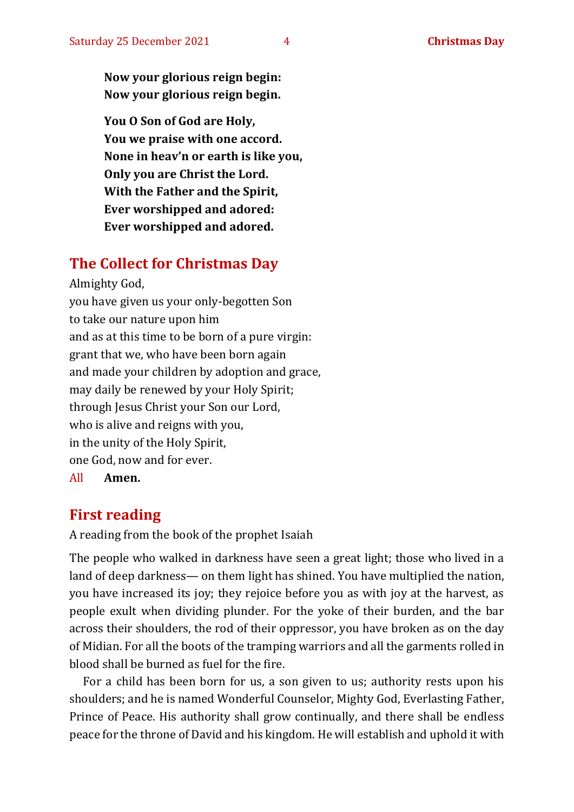**Now your glorious reign begin: Now your glorious reign begin.**

**You O Son of God are Holy, You we praise with one accord. None in heav'n or earth is like you, Only you are Christ the Lord. With the Father and the Spirit, Ever worshipped and adored: Ever worshipped and adored.**

### **The Collect for Christmas Day**

Almighty God,

you have given us your only-begotten Son to take our nature upon him and as at this time to be born of a pure virgin: grant that we, who have been born again and made your children by adoption and grace, may daily be renewed by your Holy Spirit; through Jesus Christ your Son our Lord, who is alive and reigns with you, in the unity of the Holy Spirit, one God, now and for ever.

All **Amen.**

# **First reading**

A reading from the book of the prophet Isaiah

The people who walked in darkness have seen a great light; those who lived in a land of deep darkness— on them light has shined. You have multiplied the nation, you have increased its joy; they rejoice before you as with joy at the harvest, as people exult when dividing plunder. For the yoke of their burden, and the bar across their shoulders, the rod of their oppressor, you have broken as on the day of Midian. For all the boots of the tramping warriors and all the garments rolled in blood shall be burned as fuel for the fire.

For a child has been born for us, a son given to us; authority rests upon his shoulders; and he is named Wonderful Counselor, Mighty God, Everlasting Father, Prince of Peace. His authority shall grow continually, and there shall be endless peace for the throne of David and his kingdom. He will establish and uphold it with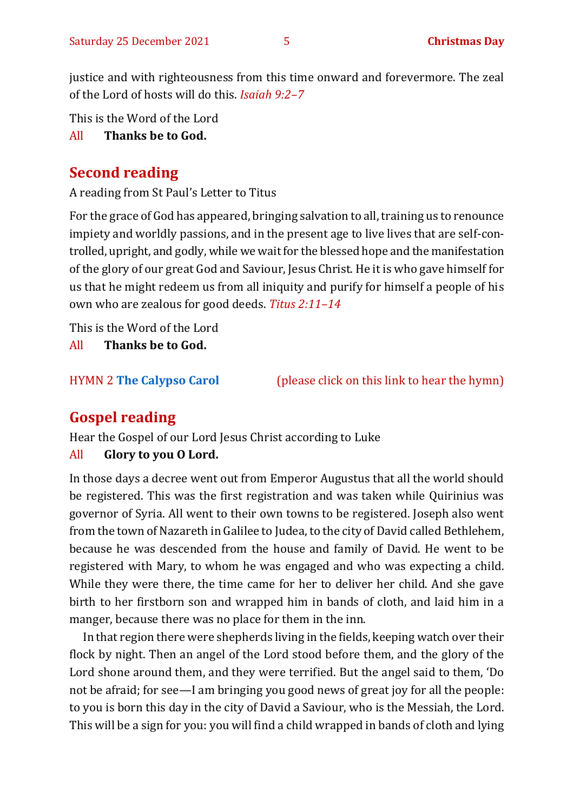justice and with righteousness from this time onward and forevermore. The zeal of the Lord of hosts will do this. *Isaiah 9:2–7*

This is the Word of the Lord

All **Thanks be to God.**

# **Second reading**

A reading from St Paul's Letter to Titus

For the grace of God has appeared, bringing salvation to all, training us to renounce impiety and worldly passions, and in the present age to live lives that are self-controlled, upright, and godly, while we wait for the blessed hope and the manifestation of the glory of our great God and Saviour, Jesus Christ. He it is who gave himself for us that he might redeem us from all iniquity and purify for himself a people of his own who are zealous for good deeds. *Titus 2:11–14*

This is the Word of the Lord

All **Thanks be to God.**

HYMN 2 **[The Calypso Carol](https://www.youtube.com/watch?v=W1UI5Ko34XQ)** (please click on this link to hear the hymn)

# **Gospel reading**

Hear the Gospel of our Lord Jesus Christ according to Luke

#### All **Glory to you O Lord.**

In those days a decree went out from Emperor Augustus that all the world should be registered. This was the first registration and was taken while Quirinius was governor of Syria. All went to their own towns to be registered. Joseph also went from the town of Nazareth in Galilee to Judea, to the city of David called Bethlehem, because he was descended from the house and family of David. He went to be registered with Mary, to whom he was engaged and who was expecting a child. While they were there, the time came for her to deliver her child. And she gave birth to her firstborn son and wrapped him in bands of cloth, and laid him in a manger, because there was no place for them in the inn.

In that region there were shepherds living in the fields, keeping watch over their flock by night. Then an angel of the Lord stood before them, and the glory of the Lord shone around them, and they were terrified. But the angel said to them, 'Do not be afraid; for see—I am bringing you good news of great joy for all the people: to you is born this day in the city of David a Saviour, who is the Messiah, the Lord. This will be a sign for you: you will find a child wrapped in bands of cloth and lying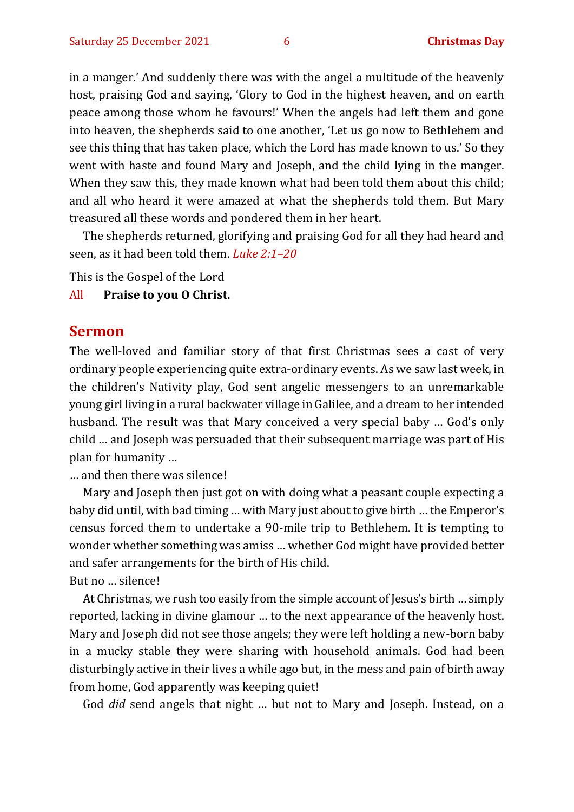in a manger.' And suddenly there was with the angel a multitude of the heavenly host, praising God and saying, 'Glory to God in the highest heaven, and on earth peace among those whom he favours!' When the angels had left them and gone into heaven, the shepherds said to one another, 'Let us go now to Bethlehem and see this thing that has taken place, which the Lord has made known to us.' So they went with haste and found Mary and Joseph, and the child lying in the manger. When they saw this, they made known what had been told them about this child; and all who heard it were amazed at what the shepherds told them. But Mary treasured all these words and pondered them in her heart.

The shepherds returned, glorifying and praising God for all they had heard and seen, as it had been told them. *Luke 2:1–20*

This is the Gospel of the Lord

#### All **Praise to you O Christ.**

#### **Sermon**

The well-loved and familiar story of that first Christmas sees a cast of very ordinary people experiencing quite extra-ordinary events. As we saw last week, in the children's Nativity play, God sent angelic messengers to an unremarkable young girl living in a rural backwater village in Galilee, and a dream to her intended husband. The result was that Mary conceived a very special baby … God's only child … and Joseph was persuaded that their subsequent marriage was part of His plan for humanity …

… and then there was silence!

Mary and Joseph then just got on with doing what a peasant couple expecting a baby did until, with bad timing … with Mary just about to give birth … the Emperor's census forced them to undertake a 90-mile trip to Bethlehem. It is tempting to wonder whether something was amiss … whether God might have provided better and safer arrangements for the birth of His child.

But no … silence!

At Christmas, we rush too easily from the simple account of Jesus's birth … simply reported, lacking in divine glamour … to the next appearance of the heavenly host. Mary and Joseph did not see those angels; they were left holding a new-born baby in a mucky stable they were sharing with household animals. God had been disturbingly active in their lives a while ago but, in the mess and pain of birth away from home, God apparently was keeping quiet!

God *did* send angels that night … but not to Mary and Joseph. Instead, on a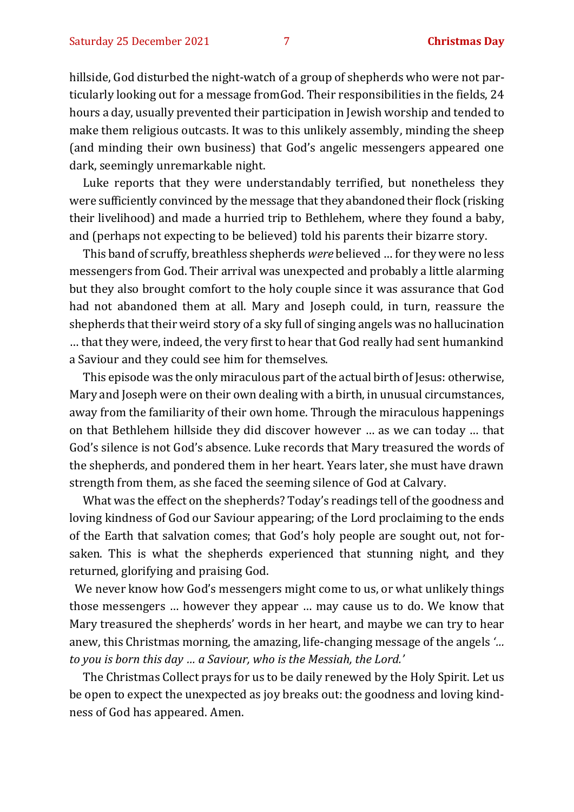hillside, God disturbed the night-watch of a group of shepherds who were not particularly looking out for a message fromGod. Their responsibilities in the fields, 24 hours a day, usually prevented their participation in Jewish worship and tended to make them religious outcasts. It was to this unlikely assembly, minding the sheep (and minding their own business) that God's angelic messengers appeared one dark, seemingly unremarkable night.

Luke reports that they were understandably terrified, but nonetheless they were sufficiently convinced by the message that they abandoned their flock (risking their livelihood) and made a hurried trip to Bethlehem, where they found a baby, and (perhaps not expecting to be believed) told his parents their bizarre story.

This band of scruffy, breathless shepherds *were* believed … for they were no less messengers from God. Their arrival was unexpected and probably a little alarming but they also brought comfort to the holy couple since it was assurance that God had not abandoned them at all. Mary and Joseph could, in turn, reassure the shepherds that their weird story of a sky full of singing angels was no hallucination … that they were, indeed, the very first to hear that God really had sent humankind a Saviour and they could see him for themselves.

This episode was the only miraculous part of the actual birth of Jesus: otherwise, Mary and Joseph were on their own dealing with a birth, in unusual circumstances, away from the familiarity of their own home. Through the miraculous happenings on that Bethlehem hillside they did discover however … as we can today … that God's silence is not God's absence. Luke records that Mary treasured the words of the shepherds, and pondered them in her heart. Years later, she must have drawn strength from them, as she faced the seeming silence of God at Calvary.

What was the effect on the shepherds? Today's readings tell of the goodness and loving kindness of God our Saviour appearing; of the Lord proclaiming to the ends of the Earth that salvation comes; that God's holy people are sought out, not forsaken. This is what the shepherds experienced that stunning night, and they returned, glorifying and praising God.

We never know how God's messengers might come to us, or what unlikely things those messengers … however they appear … may cause us to do. We know that Mary treasured the shepherds' words in her heart, and maybe we can try to hear anew, this Christmas morning, the amazing, life-changing message of the angels *'… to you is born this day … a Saviour, who is the Messiah, the Lord.'*

The Christmas Collect prays for us to be daily renewed by the Holy Spirit. Let us be open to expect the unexpected as joy breaks out: the goodness and loving kindness of God has appeared. Amen.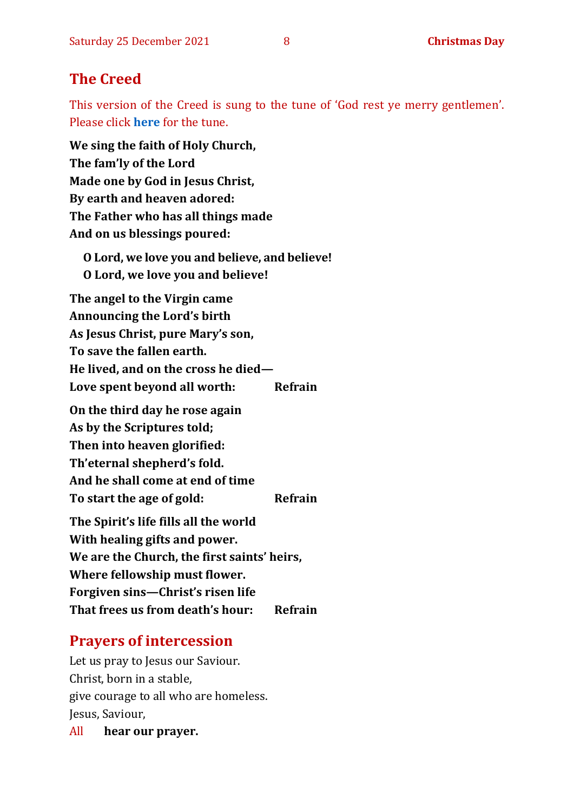# **The Creed**

This version of the Creed is sung to the tune of 'God rest ye merry gentlemen'. Please click **[here](https://www.youtube.com/watch?v=RZjHDSlTi2U)** for the tune.

**We sing the faith of Holy Church, The fam'ly of the Lord Made one by God in Jesus Christ, By earth and heaven adored: The Father who has all things made And on us blessings poured:**

**O Lord, we love you and believe, and believe! O Lord, we love you and believe!**

**The angel to the Virgin came Announcing the Lord's birth As Jesus Christ, pure Mary's son, To save the fallen earth. He lived, and on the cross he died— Love spent beyond all worth: Refrain On the third day he rose again As by the Scriptures told; Then into heaven glorified: Th'eternal shepherd's fold. And he shall come at end of time To start the age of gold: Refrain The Spirit's life fills all the world With healing gifts and power. We are the Church, the first saints' heirs, Where fellowship must flower. Forgiven sins—Christ's risen life That frees us from death's hour: Refrain**

# **Prayers of intercession**

Let us pray to Jesus our Saviour. Christ, born in a stable, give courage to all who are homeless. Jesus, Saviour,

All **hear our prayer.**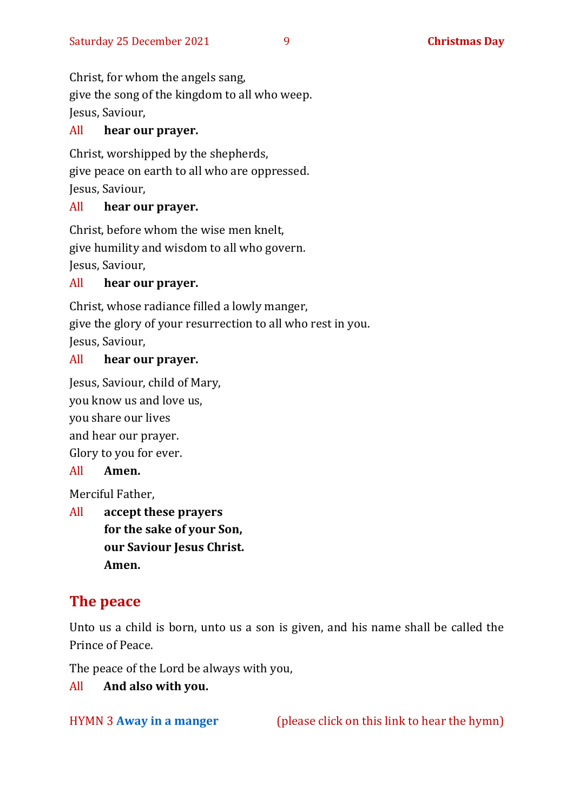Christ, for whom the angels sang, give the song of the kingdom to all who weep. Jesus, Saviour,

#### All **hear our prayer.**

Christ, worshipped by the shepherds, give peace on earth to all who are oppressed. Jesus, Saviour,

#### All **hear our prayer.**

Christ, before whom the wise men knelt, give humility and wisdom to all who govern. Jesus, Saviour,

#### All **hear our prayer.**

Christ, whose radiance filled a lowly manger, give the glory of your resurrection to all who rest in you. Jesus, Saviour,

#### All **hear our prayer.**

Jesus, Saviour, child of Mary, you know us and love us, you share our lives and hear our prayer. Glory to you for ever.

#### All **Amen.**

Merciful Father,

All **accept these prayers for the sake of your Son, our Saviour Jesus Christ. Amen.**

# **The peace**

Unto us a child is born, unto us a son is given, and his name shall be called the Prince of Peace.

The peace of the Lord be always with you,

#### All **And also with you.**

HYMN 3 **Away [in a manger](https://www.youtube.com/watch?v=yjke_DVaa_c&t=2s)** (please click on this link to hear the hymn)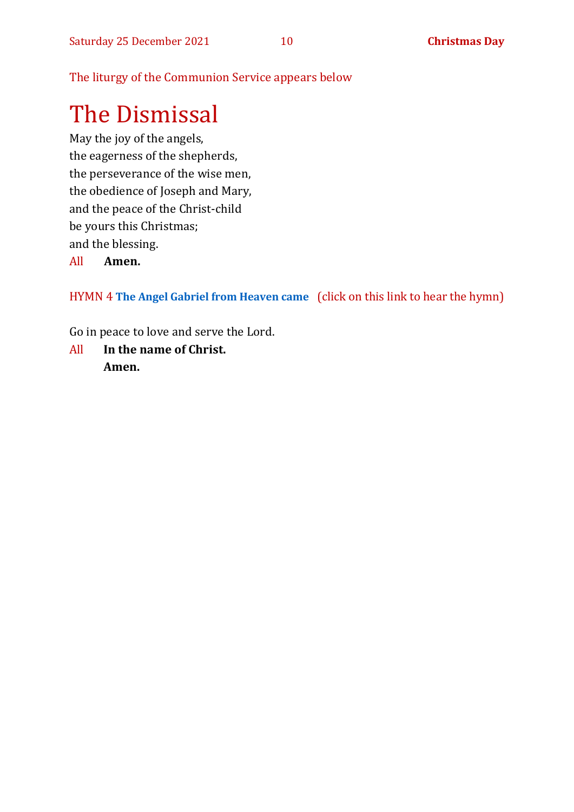The liturgy of the Communion Service appears below

# The Dismissal

May the joy of the angels, the eagerness of the shepherds, the perseverance of the wise men, the obedience of Joseph and Mary, and the peace of the Christ-child be yours this Christmas; and the blessing.

#### All **Amen.**

HYMN 4 **[The Angel Gabriel from Heaven came](https://www.youtube.com/watch?v=pliqObTHxUQ)** (click on this link to hear the hymn)

Go in peace to love and serve the Lord.

All **In the name of Christ. Amen.**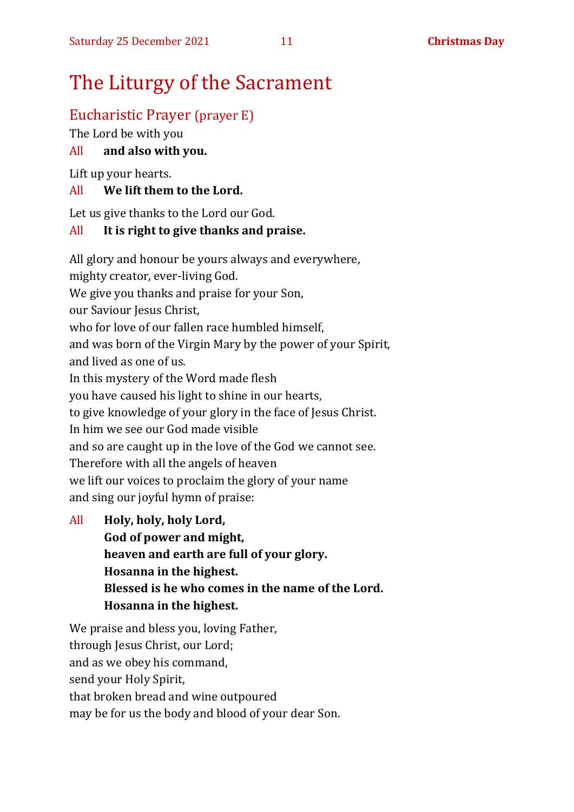# The Liturgy of the Sacrament

## Eucharistic Prayer (prayer E)

The Lord be with you

#### All **and also with you.**

Lift up your hearts.

#### All **We lift them to the Lord.**

Let us give thanks to the Lord our God.

#### All **It is right to give thanks and praise.**

All glory and honour be yours always and everywhere, mighty creator, ever-living God. We give you thanks and praise for your Son, our Saviour Jesus Christ, who for love of our fallen race humbled himself, and was born of the Virgin Mary by the power of your Spirit, and lived as one of us. In this mystery of the Word made flesh you have caused his light to shine in our hearts, to give knowledge of your glory in the face of Jesus Christ. In him we see our God made visible and so are caught up in the love of the God we cannot see. Therefore with all the angels of heaven we lift our voices to proclaim the glory of your name and sing our joyful hymn of praise:

All **Holy, holy, holy Lord, God of power and might, heaven and earth are full of your glory. Hosanna in the highest. Blessed is he who comes in the name of the Lord. Hosanna in the highest.**

We praise and bless you, loving Father, through Jesus Christ, our Lord; and as we obey his command, send your Holy Spirit, that broken bread and wine outpoured may be for us the body and blood of your dear Son.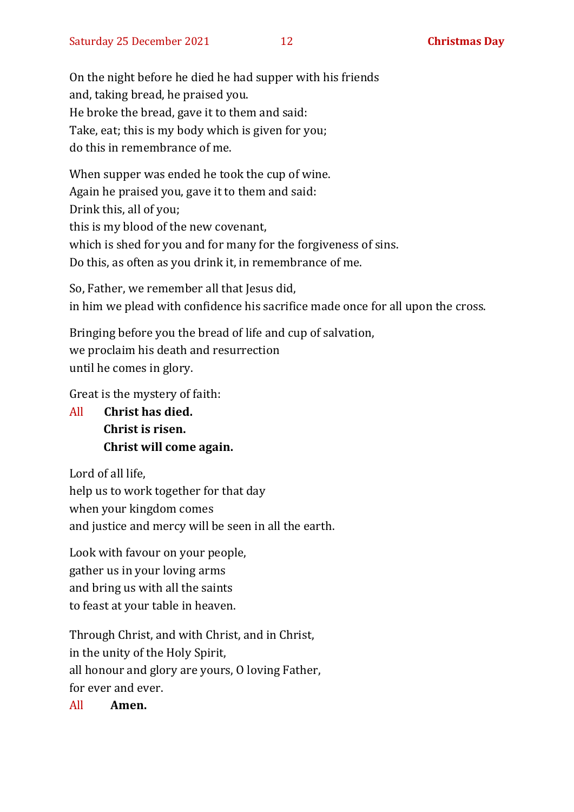On the night before he died he had supper with his friends and, taking bread, he praised you. He broke the bread, gave it to them and said: Take, eat; this is my body which is given for you; do this in remembrance of me.

When supper was ended he took the cup of wine. Again he praised you, gave it to them and said: Drink this, all of you; this is my blood of the new covenant, which is shed for you and for many for the forgiveness of sins. Do this, as often as you drink it, in remembrance of me.

So, Father, we remember all that Jesus did, in him we plead with confidence his sacrifice made once for all upon the cross.

Bringing before you the bread of life and cup of salvation, we proclaim his death and resurrection until he comes in glory.

Great is the mystery of faith:

All **Christ has died. Christ is risen. Christ will come again.**

Lord of all life, help us to work together for that day when your kingdom comes and justice and mercy will be seen in all the earth.

Look with favour on your people, gather us in your loving arms and bring us with all the saints to feast at your table in heaven.

Through Christ, and with Christ, and in Christ, in the unity of the Holy Spirit, all honour and glory are yours, O loving Father, for ever and ever.

All **Amen.**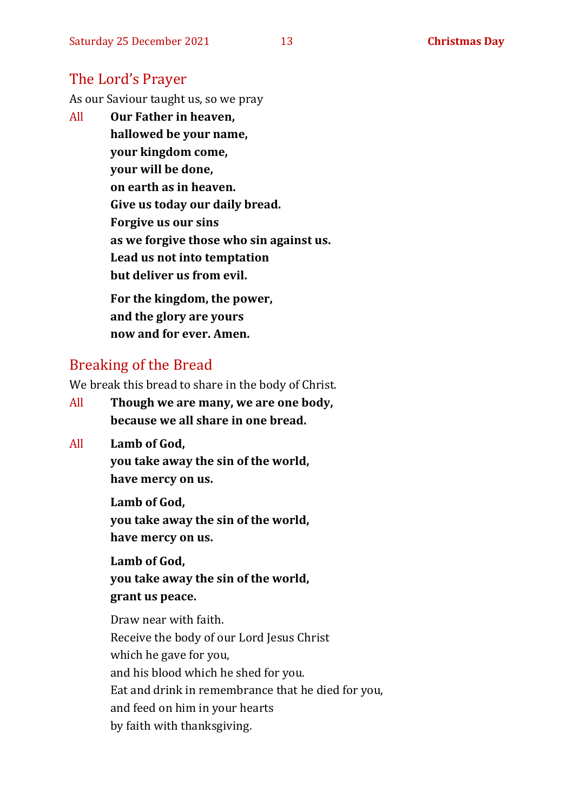# The Lord's Prayer

As our Saviour taught us, so we pray

All **Our Father in heaven, hallowed be your name, your kingdom come, your will be done, on earth as in heaven. Give us today our daily bread. Forgive us our sins as we forgive those who sin against us. Lead us not into temptation but deliver us from evil. For the kingdom, the power,** 

**and the glory are yours now and for ever. Amen.**

# Breaking of the Bread

We break this bread to share in the body of Christ.

- All **Though we are many, we are one body, because we all share in one bread.**
- All **Lamb of God,**

**you take away the sin of the world, have mercy on us.**

**Lamb of God, you take away the sin of the world, have mercy on us.**

**Lamb of God, you take away the sin of the world, grant us peace.**

Draw near with faith. Receive the body of our Lord Jesus Christ which he gave for you, and his blood which he shed for you. Eat and drink in remembrance that he died for you, and feed on him in your hearts by faith with thanksgiving.